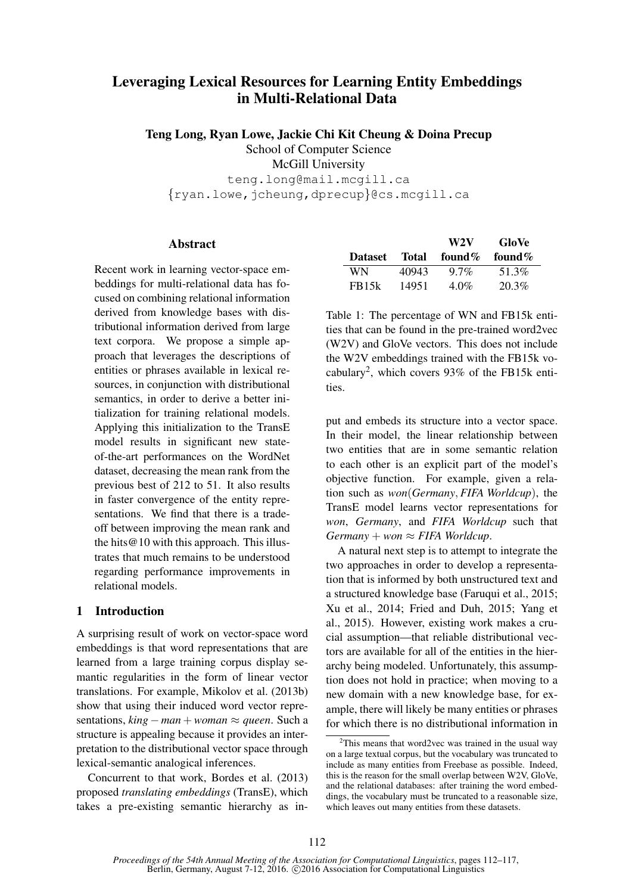# Leveraging Lexical Resources for Learning Entity Embeddings in Multi-Relational Data

Teng Long, Ryan Lowe, Jackie Chi Kit Cheung & Doina Precup

School of Computer Science

McGill University

teng.long@mail.mcgill.ca  $\{ryan.lower, jcheung, dprecup\}$ @cs.mcqill.ca

## Abstract

Recent work in learning vector-space embeddings for multi-relational data has focused on combining relational information derived from knowledge bases with distributional information derived from large text corpora. We propose a simple approach that leverages the descriptions of entities or phrases available in lexical resources, in conjunction with distributional semantics, in order to derive a better initialization for training relational models. Applying this initialization to the TransE model results in significant new stateof-the-art performances on the WordNet dataset, decreasing the mean rank from the previous best of 212 to 51. It also results in faster convergence of the entity representations. We find that there is a tradeoff between improving the mean rank and the hits@10 with this approach. This illustrates that much remains to be understood regarding performance improvements in relational models.

# 1 Introduction

A surprising result of work on vector-space word embeddings is that word representations that are learned from a large training corpus display semantic regularities in the form of linear vector translations. For example, Mikolov et al. (2013b) show that using their induced word vector representations,  $king - man + woman \approx queen$ . Such a structure is appealing because it provides an interpretation to the distributional vector space through lexical-semantic analogical inferences.

Concurrent to that work, Bordes et al. (2013) proposed *translating embeddings* (TransE), which takes a pre-existing semantic hierarchy as in-

|                    |       | W2V        | GloVe  |
|--------------------|-------|------------|--------|
| Dataset            | Total | found $\%$ | found% |
| WN.                | 40943 | $9.7\%$    | 51.3%  |
| FB <sub>15</sub> k | 14951 | $4.0\%$    | 20.3%  |

Table 1: The percentage of WN and FB15k entities that can be found in the pre-trained word2vec (W2V) and GloVe vectors. This does not include the W2V embeddings trained with the FB15k vocabulary<sup>2</sup> , which covers 93% of the FB15k entities.

put and embeds its structure into a vector space. In their model, the linear relationship between two entities that are in some semantic relation to each other is an explicit part of the model's objective function. For example, given a relation such as *won*(*Germany*, *FIFA Worldcup*), the TransE model learns vector representations for *won*, *Germany*, and *FIFA Worldcup* such that  $Germany + won \approx FIFA Worldcup.$ 

A natural next step is to attempt to integrate the two approaches in order to develop a representation that is informed by both unstructured text and a structured knowledge base (Faruqui et al., 2015; Xu et al., 2014; Fried and Duh, 2015; Yang et al., 2015). However, existing work makes a crucial assumption—that reliable distributional vectors are available for all of the entities in the hierarchy being modeled. Unfortunately, this assumption does not hold in practice; when moving to a new domain with a new knowledge base, for example, there will likely be many entities or phrases for which there is no distributional information in

 $2$ This means that word2vec was trained in the usual way on a large textual corpus, but the vocabulary was truncated to include as many entities from Freebase as possible. Indeed, this is the reason for the small overlap between W2V, GloVe, and the relational databases: after training the word embeddings, the vocabulary must be truncated to a reasonable size, which leaves out many entities from these datasets.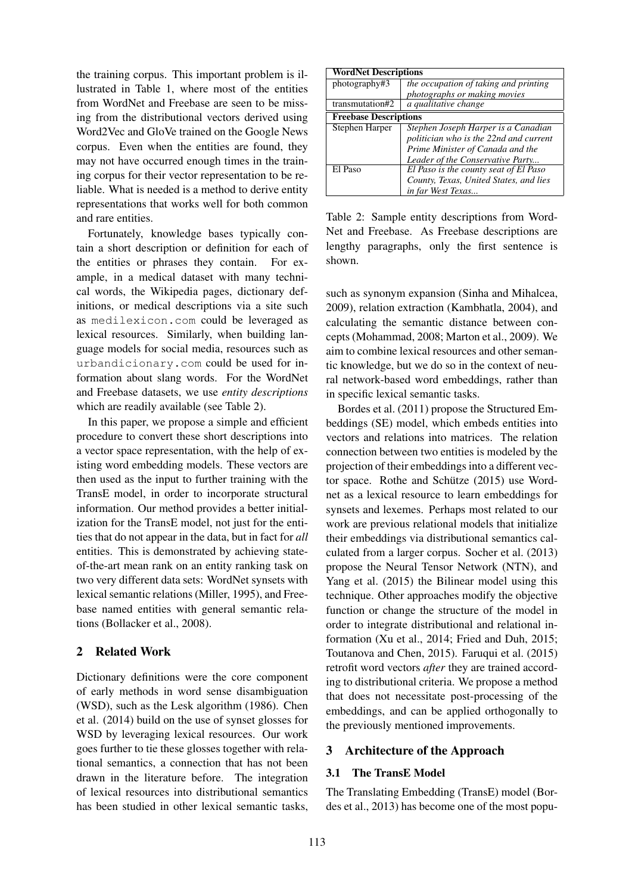the training corpus. This important problem is illustrated in Table 1, where most of the entities from WordNet and Freebase are seen to be missing from the distributional vectors derived using Word2Vec and GloVe trained on the Google News corpus. Even when the entities are found, they may not have occurred enough times in the training corpus for their vector representation to be reliable. What is needed is a method to derive entity representations that works well for both common and rare entities.

Fortunately, knowledge bases typically contain a short description or definition for each of the entities or phrases they contain. For example, in a medical dataset with many technical words, the Wikipedia pages, dictionary definitions, or medical descriptions via a site such as medilexicon.com could be leveraged as lexical resources. Similarly, when building language models for social media, resources such as urbandicionary.com could be used for information about slang words. For the WordNet and Freebase datasets, we use *entity descriptions* which are readily available (see Table 2).

In this paper, we propose a simple and efficient procedure to convert these short descriptions into a vector space representation, with the help of existing word embedding models. These vectors are then used as the input to further training with the TransE model, in order to incorporate structural information. Our method provides a better initialization for the TransE model, not just for the entities that do not appear in the data, but in fact for *all* entities. This is demonstrated by achieving stateof-the-art mean rank on an entity ranking task on two very different data sets: WordNet synsets with lexical semantic relations (Miller, 1995), and Freebase named entities with general semantic relations (Bollacker et al., 2008).

# 2 Related Work

Dictionary definitions were the core component of early methods in word sense disambiguation (WSD), such as the Lesk algorithm (1986). Chen et al. (2014) build on the use of synset glosses for WSD by leveraging lexical resources. Our work goes further to tie these glosses together with relational semantics, a connection that has not been drawn in the literature before. The integration of lexical resources into distributional semantics has been studied in other lexical semantic tasks,

| <b>WordNet Descriptions</b>  |                                        |  |  |  |  |
|------------------------------|----------------------------------------|--|--|--|--|
| photography#3                | the occupation of taking and printing  |  |  |  |  |
|                              | photographs or making movies           |  |  |  |  |
| transmutation#2              | a qualitative change                   |  |  |  |  |
| <b>Freebase Descriptions</b> |                                        |  |  |  |  |
| Stephen Harper               | Stephen Joseph Harper is a Canadian    |  |  |  |  |
|                              | politician who is the 22nd and current |  |  |  |  |
|                              | Prime Minister of Canada and the       |  |  |  |  |
|                              | Leader of the Conservative Party       |  |  |  |  |
| El Paso                      | El Paso is the county seat of El Paso  |  |  |  |  |
|                              | County, Texas, United States, and lies |  |  |  |  |
|                              | in far West Texas                      |  |  |  |  |

Table 2: Sample entity descriptions from Word-Net and Freebase. As Freebase descriptions are lengthy paragraphs, only the first sentence is shown.

such as synonym expansion (Sinha and Mihalcea, 2009), relation extraction (Kambhatla, 2004), and calculating the semantic distance between concepts (Mohammad, 2008; Marton et al., 2009). We aim to combine lexical resources and other semantic knowledge, but we do so in the context of neural network-based word embeddings, rather than in specific lexical semantic tasks.

Bordes et al. (2011) propose the Structured Embeddings (SE) model, which embeds entities into vectors and relations into matrices. The relation connection between two entities is modeled by the projection of their embeddings into a different vector space. Rothe and Schütze  $(2015)$  use Wordnet as a lexical resource to learn embeddings for synsets and lexemes. Perhaps most related to our work are previous relational models that initialize their embeddings via distributional semantics calculated from a larger corpus. Socher et al. (2013) propose the Neural Tensor Network (NTN), and Yang et al. (2015) the Bilinear model using this technique. Other approaches modify the objective function or change the structure of the model in order to integrate distributional and relational information (Xu et al., 2014; Fried and Duh, 2015; Toutanova and Chen, 2015). Faruqui et al. (2015) retrofit word vectors *after* they are trained according to distributional criteria. We propose a method that does not necessitate post-processing of the embeddings, and can be applied orthogonally to the previously mentioned improvements.

## 3 Architecture of the Approach

## 3.1 The TransE Model

The Translating Embedding (TransE) model (Bordes et al., 2013) has become one of the most popu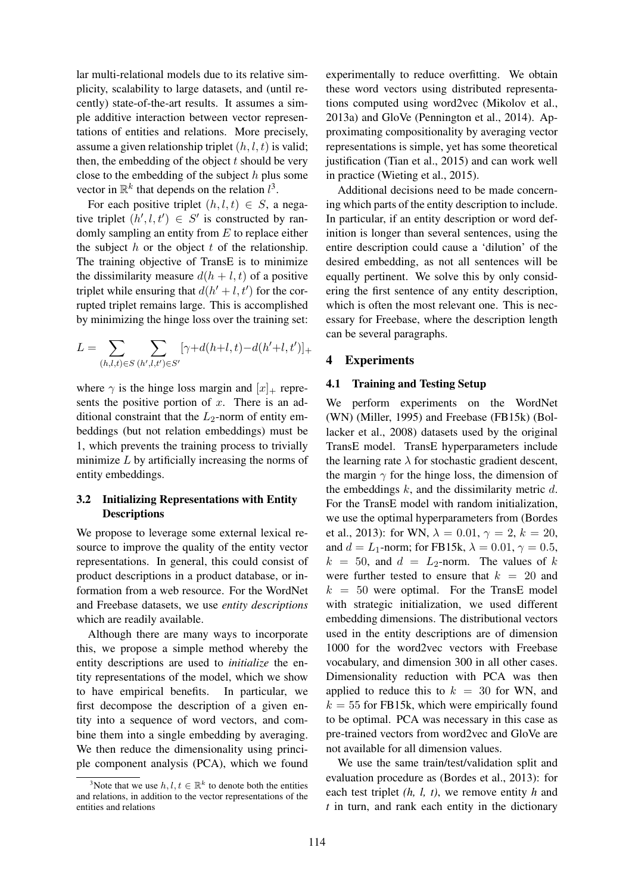lar multi-relational models due to its relative simplicity, scalability to large datasets, and (until recently) state-of-the-art results. It assumes a simple additive interaction between vector representations of entities and relations. More precisely, assume a given relationship triplet  $(h, l, t)$  is valid; then, the embedding of the object  $t$  should be very close to the embedding of the subject  $h$  plus some vector in  $\mathbb{R}^k$  that depends on the relation  $l^3$ .

For each positive triplet  $(h, l, t) \in S$ , a negative triplet  $(h', l, t') \in S'$  is constructed by randomly sampling an entity from  $E$  to replace either the subject  $h$  or the object  $t$  of the relationship. The training objective of TransE is to minimize the dissimilarity measure  $d(h + l, t)$  of a positive triplet while ensuring that  $d(h'+l, t')$  for the corrupted triplet remains large. This is accomplished by minimizing the hinge loss over the training set:

$$
L = \sum_{(h,l,t) \in S} \sum_{(h',l,t') \in S'} [\gamma + d(h+l,t) - d(h'+l,t')]_+
$$

where  $\gamma$  is the hinge loss margin and  $[x]_+$  represents the positive portion of  $x$ . There is an additional constraint that the  $L_2$ -norm of entity embeddings (but not relation embeddings) must be 1, which prevents the training process to trivially minimize  $L$  by artificially increasing the norms of entity embeddings.

#### 3.2 Initializing Representations with Entity **Descriptions**

We propose to leverage some external lexical resource to improve the quality of the entity vector representations. In general, this could consist of product descriptions in a product database, or information from a web resource. For the WordNet and Freebase datasets, we use *entity descriptions* which are readily available.

Although there are many ways to incorporate this, we propose a simple method whereby the entity descriptions are used to *initialize* the entity representations of the model, which we show to have empirical benefits. In particular, we first decompose the description of a given entity into a sequence of word vectors, and combine them into a single embedding by averaging. We then reduce the dimensionality using principle component analysis (PCA), which we found

experimentally to reduce overfitting. We obtain these word vectors using distributed representations computed using word2vec (Mikolov et al., 2013a) and GloVe (Pennington et al., 2014). Approximating compositionality by averaging vector representations is simple, yet has some theoretical justification (Tian et al., 2015) and can work well in practice (Wieting et al., 2015).

Additional decisions need to be made concerning which parts of the entity description to include. In particular, if an entity description or word definition is longer than several sentences, using the entire description could cause a 'dilution' of the desired embedding, as not all sentences will be equally pertinent. We solve this by only considering the first sentence of any entity description, which is often the most relevant one. This is necessary for Freebase, where the description length can be several paragraphs.

#### 4 Experiments

#### 4.1 Training and Testing Setup

We perform experiments on the WordNet (WN) (Miller, 1995) and Freebase (FB15k) (Bollacker et al., 2008) datasets used by the original TransE model. TransE hyperparameters include the learning rate  $\lambda$  for stochastic gradient descent, the margin  $\gamma$  for the hinge loss, the dimension of the embeddings  $k$ , and the dissimilarity metric  $d$ . For the TransE model with random initialization, we use the optimal hyperparameters from (Bordes et al., 2013): for WN,  $\lambda = 0.01$ ,  $\gamma = 2$ ,  $k = 20$ , and  $d = L_1$ -norm; for FB15k,  $\lambda = 0.01$ ,  $\gamma = 0.5$ ,  $k = 50$ , and  $d = L_2$ -norm. The values of k were further tested to ensure that  $k = 20$  and  $k = 50$  were optimal. For the TransE model with strategic initialization, we used different embedding dimensions. The distributional vectors used in the entity descriptions are of dimension 1000 for the word2vec vectors with Freebase vocabulary, and dimension 300 in all other cases. Dimensionality reduction with PCA was then applied to reduce this to  $k = 30$  for WN, and  $k = 55$  for FB15k, which were empirically found to be optimal. PCA was necessary in this case as pre-trained vectors from word2vec and GloVe are not available for all dimension values.

We use the same train/test/validation split and evaluation procedure as (Bordes et al., 2013): for each test triplet *(h, l, t)*, we remove entity *h* and *t* in turn, and rank each entity in the dictionary

<sup>&</sup>lt;sup>3</sup>Note that we use  $h, l, t \in \mathbb{R}^k$  to denote both the entities and relations, in addition to the vector representations of the entities and relations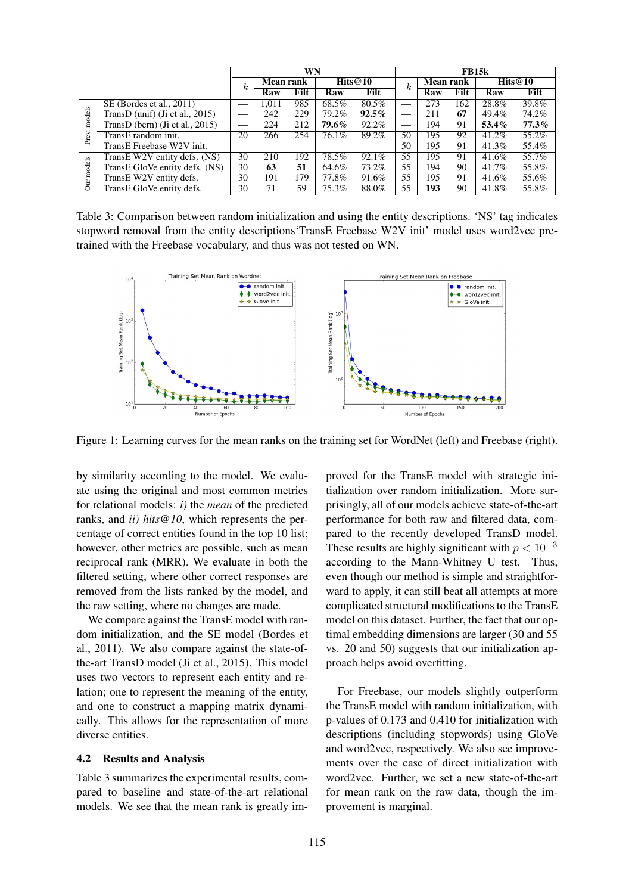|            |                                    | WN       |                  |      |         | <b>FB15k</b> |                          |                             |      |       |       |
|------------|------------------------------------|----------|------------------|------|---------|--------------|--------------------------|-----------------------------|------|-------|-------|
|            |                                    | $\kappa$ | <b>Mean rank</b> |      | Hits@10 |              | $\kappa$                 | Hits@10<br><b>Mean rank</b> |      |       |       |
|            |                                    |          | Raw              | Filt | Raw     | Filt         |                          | Raw                         | Filt | Raw   | Filt  |
|            | SE (Bordes et al., 2011)           |          | 1.011            | 985  | 68.5%   | 80.5%        | $\overline{\phantom{0}}$ | 273                         | 162  | 28.8% | 39.8% |
| models     | TransD (unif) (Ji et al., $2015$ ) |          | 242              | 229  | 79.2%   | $92.5\%$     |                          | 211                         | 67   | 49.4% | 74.2% |
|            | TransD (bern) (Ji et al., $2015$ ) |          | 224              | 212  | 79.6%   | 92.2%        |                          | 194                         | 91   | 53.4% | 77.3% |
| Prev.      | TransE random init.                | 20       | 266              | 254  | 76.1%   | 89.2%        | 50                       | 195                         | 92   | 41.2% | 55.2% |
|            | TransE Freebase W2V init.          |          |                  |      |         |              | 50                       | 195                         | 91   | 41.3% | 55.4% |
|            | TransE W2V entity defs. (NS)       | 30       | 210              | 192  | 78.5%   | 92.1%        | 55                       | 195                         | 91   | 41.6% | 55.7% |
|            | TransE GloVe entity defs. (NS)     | 30       | 63               | 51   | 64.6%   | 73.2%        | 55                       | 194                         | 90   | 41.7% | 55.8% |
| Our models | TransE W2V entity defs.            | 30       | 191              | 179  | 77.8%   | 91.6%        | 55                       | 195                         | 91   | 41.6% | 55.6% |
|            | TransE GloVe entity defs.          | 30       | 71               | 59   | 75.3%   | 88.0%        | 55                       | 193                         | 90   | 41.8% | 55.8% |

Table 3: Comparison between random initialization and using the entity descriptions. 'NS' tag indicates stopword removal from the entity descriptions'TransE Freebase W2V init' model uses word2vec pretrained with the Freebase vocabulary, and thus was not tested on WN.



Figure 1: Learning curves for the mean ranks on the training set for WordNet (left) and Freebase (right).

by similarity according to the model. We evaluate using the original and most common metrics for relational models: *i)* the *mean* of the predicted ranks, and *ii) hits@10*, which represents the percentage of correct entities found in the top 10 list; however, other metrics are possible, such as mean reciprocal rank (MRR). We evaluate in both the filtered setting, where other correct responses are removed from the lists ranked by the model, and the raw setting, where no changes are made.

We compare against the TransE model with random initialization, and the SE model (Bordes et al., 2011). We also compare against the state-ofthe-art TransD model (Ji et al., 2015). This model uses two vectors to represent each entity and relation; one to represent the meaning of the entity, and one to construct a mapping matrix dynamically. This allows for the representation of more diverse entities.

#### 4.2 Results and Analysis

Table 3 summarizes the experimental results, compared to baseline and state-of-the-art relational models. We see that the mean rank is greatly im-

proved for the TransE model with strategic initialization over random initialization. More surprisingly, all of our models achieve state-of-the-art performance for both raw and filtered data, compared to the recently developed TransD model. These results are highly significant with  $p < 10^{-3}$ according to the Mann-Whitney U test. Thus, even though our method is simple and straightforward to apply, it can still beat all attempts at more complicated structural modifications to the TransE model on this dataset. Further, the fact that our optimal embedding dimensions are larger (30 and 55 vs. 20 and 50) suggests that our initialization approach helps avoid overfitting.

For Freebase, our models slightly outperform the TransE model with random initialization, with p-values of 0.173 and 0.410 for initialization with descriptions (including stopwords) using GloVe and word2vec, respectively. We also see improvements over the case of direct initialization with word2vec. Further, we set a new state-of-the-art for mean rank on the raw data, though the improvement is marginal.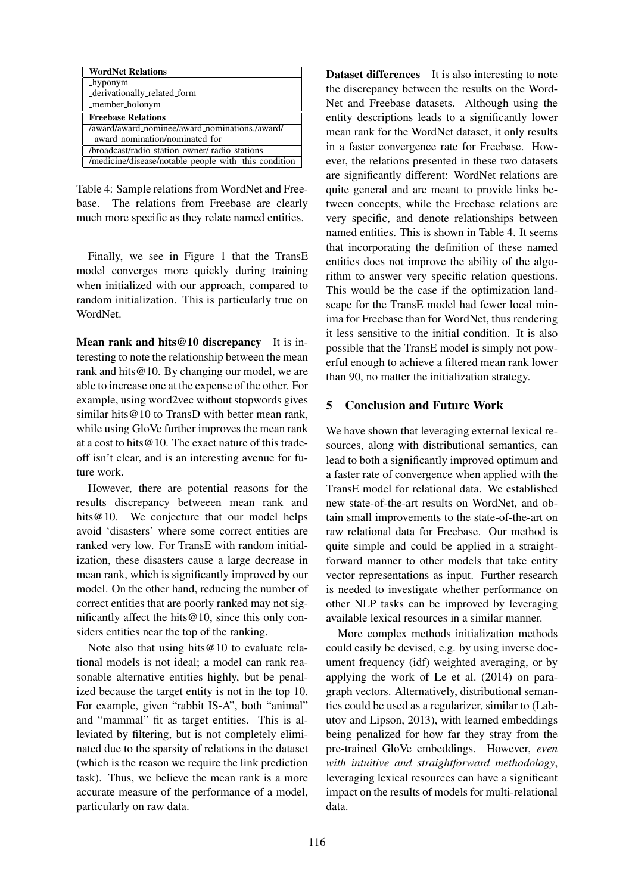| <b>WordNet Relations</b>                              |
|-------------------------------------------------------|
| hyponym                                               |
| _derivationally_related_form                          |
| _member_holonym                                       |
| <b>Freebase Relations</b>                             |
| /award/award_nominee/award_nominations./award/        |
| award_nomination/nominated_for                        |
| /broadcast/radio_station_owner/ radio_stations        |
| /medicine/disease/notable_people_with _this_condition |

Table 4: Sample relations from WordNet and Freebase. The relations from Freebase are clearly much more specific as they relate named entities.

Finally, we see in Figure 1 that the TransE model converges more quickly during training when initialized with our approach, compared to random initialization. This is particularly true on **WordNet** 

Mean rank and hits@10 discrepancy It is interesting to note the relationship between the mean rank and hits@10. By changing our model, we are able to increase one at the expense of the other. For example, using word2vec without stopwords gives similar hits @10 to TransD with better mean rank, while using GloVe further improves the mean rank at a cost to hits@10. The exact nature of this tradeoff isn't clear, and is an interesting avenue for future work.

However, there are potential reasons for the results discrepancy betweeen mean rank and hits@10. We conjecture that our model helps avoid 'disasters' where some correct entities are ranked very low. For TransE with random initialization, these disasters cause a large decrease in mean rank, which is significantly improved by our model. On the other hand, reducing the number of correct entities that are poorly ranked may not significantly affect the hits@10, since this only considers entities near the top of the ranking.

Note also that using hits@10 to evaluate relational models is not ideal; a model can rank reasonable alternative entities highly, but be penalized because the target entity is not in the top 10. For example, given "rabbit IS-A", both "animal" and "mammal" fit as target entities. This is alleviated by filtering, but is not completely eliminated due to the sparsity of relations in the dataset (which is the reason we require the link prediction task). Thus, we believe the mean rank is a more accurate measure of the performance of a model, particularly on raw data.

Dataset differences It is also interesting to note the discrepancy between the results on the Word-Net and Freebase datasets. Although using the entity descriptions leads to a significantly lower mean rank for the WordNet dataset, it only results in a faster convergence rate for Freebase. However, the relations presented in these two datasets are significantly different: WordNet relations are quite general and are meant to provide links between concepts, while the Freebase relations are very specific, and denote relationships between named entities. This is shown in Table 4. It seems that incorporating the definition of these named entities does not improve the ability of the algorithm to answer very specific relation questions. This would be the case if the optimization landscape for the TransE model had fewer local minima for Freebase than for WordNet, thus rendering it less sensitive to the initial condition. It is also possible that the TransE model is simply not powerful enough to achieve a filtered mean rank lower than 90, no matter the initialization strategy.

## 5 Conclusion and Future Work

We have shown that leveraging external lexical resources, along with distributional semantics, can lead to both a significantly improved optimum and a faster rate of convergence when applied with the TransE model for relational data. We established new state-of-the-art results on WordNet, and obtain small improvements to the state-of-the-art on raw relational data for Freebase. Our method is quite simple and could be applied in a straightforward manner to other models that take entity vector representations as input. Further research is needed to investigate whether performance on other NLP tasks can be improved by leveraging available lexical resources in a similar manner.

More complex methods initialization methods could easily be devised, e.g. by using inverse document frequency (idf) weighted averaging, or by applying the work of Le et al. (2014) on paragraph vectors. Alternatively, distributional semantics could be used as a regularizer, similar to (Labutov and Lipson, 2013), with learned embeddings being penalized for how far they stray from the pre-trained GloVe embeddings. However, *even with intuitive and straightforward methodology*, leveraging lexical resources can have a significant impact on the results of models for multi-relational data.